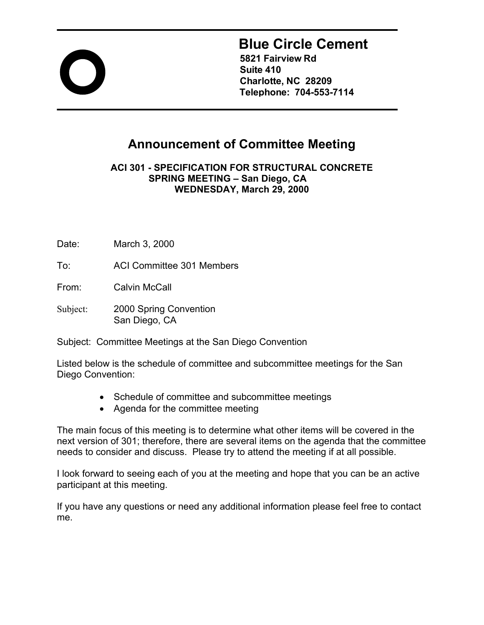

# **Blue Circle Cement**

**5821 Fairview Rd Suite 410 Charlotte, NC 28209 Telephone: 704-553-7114** 

## **Announcement of Committee Meeting**

**ACI 301 - SPECIFICATION FOR STRUCTURAL CONCRETE SPRING MEETING – San Diego, CA WEDNESDAY, March 29, 2000**

Date: March 3, 2000

To: ACI Committee 301 Members

From: Calvin McCall

Subject: 2000 Spring Convention San Diego, CA

Subject: Committee Meetings at the San Diego Convention

Listed below is the schedule of committee and subcommittee meetings for the San Diego Convention:

- Schedule of committee and subcommittee meetings
- Agenda for the committee meeting

The main focus of this meeting is to determine what other items will be covered in the next version of 301; therefore, there are several items on the agenda that the committee needs to consider and discuss. Please try to attend the meeting if at all possible.

I look forward to seeing each of you at the meeting and hope that you can be an active participant at this meeting.

If you have any questions or need any additional information please feel free to contact me.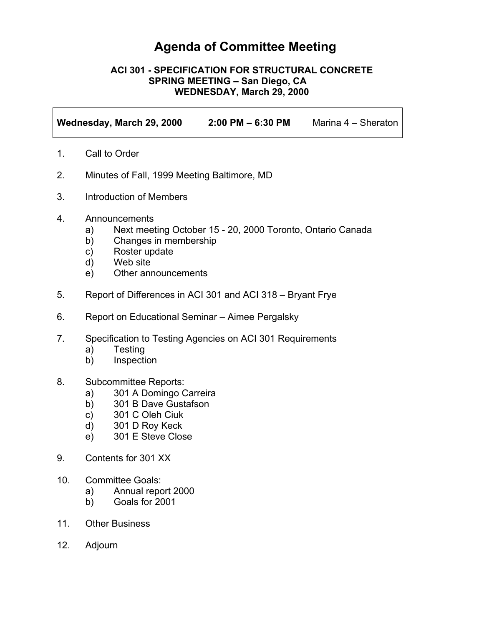## **Agenda of Committee Meeting**

#### **ACI 301 - SPECIFICATION FOR STRUCTURAL CONCRETE SPRING MEETING – San Diego, CA WEDNESDAY, March 29, 2000**

**Wednesday, March 29, 2000 2:00 PM – 6:30 PM** Marina 4 – Sheraton

- 1. Call to Order
- 2. Minutes of Fall, 1999 Meeting Baltimore, MD
- 3. Introduction of Members
- 4. Announcements
	- a) Next meeting October 15 20, 2000 Toronto, Ontario Canada
	- b) Changes in membership
	- c) Roster update
	- d) Web site
	- e) Other announcements
- 5. Report of Differences in ACI 301 and ACI 318 Bryant Frye
- 6. Report on Educational Seminar Aimee Pergalsky
- 7. Specification to Testing Agencies on ACI 301 Requirements
	- a) Testing
	- b) Inspection
- 8. Subcommittee Reports:
	- a) 301 A Domingo Carreira
	- b) 301 B Dave Gustafson
	- c) 301 C Oleh Ciuk
	- d) 301 D Roy Keck
	- e) 301 E Steve Close
- 9. Contents for 301 XX
- 10. Committee Goals:
	- a) Annual report 2000
	- b) Goals for 2001
- 11. Other Business
- 12. Adjourn